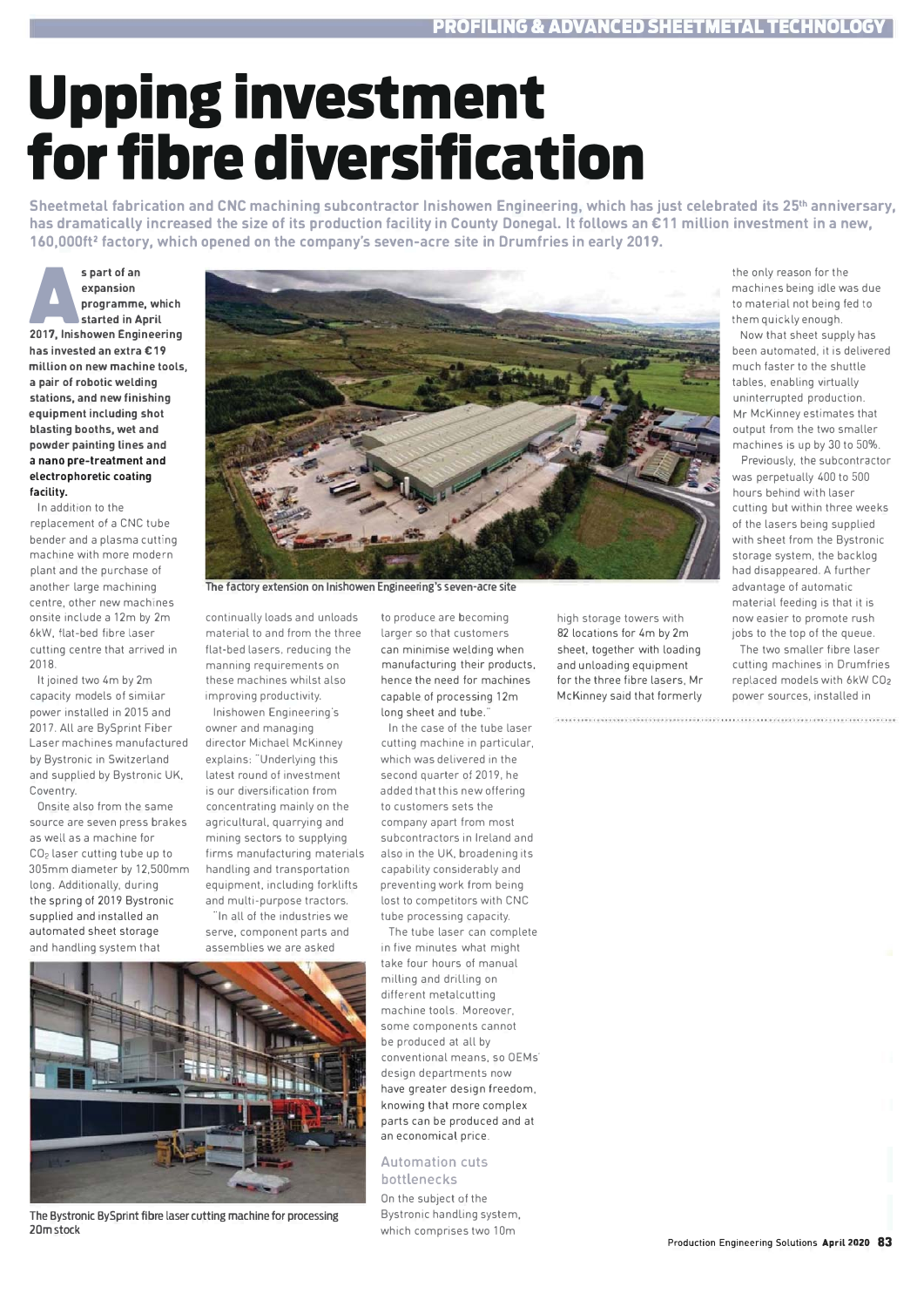## **Upping investment** for fibre diversification

Sheetmetal fabrication and CNC machining subcontractor Inishowen Engineering, which has just celebrated its 25<sup>th</sup> anniversary, has dramatically increased the size of its production facility in County Donegal. It follows an €11 million investment in a new, 160,000ft<sup>2</sup> factory, which opened on the company's seven-acre site in Drumfries in early 2019.

s part of an expansion programme, which started in Anril 2017, Inishowen Engineering has invested an extra £19 million on new machine tools. a pair of robotic welding stations, and new finishing equipment including shot blasting booths, wet and powder painting lines and a nano pre-treatment and electrophoretic coating facility.

In addition to the replacement of a CNC tube bender and a plasma cutting machine with more modern plant and the purchase of another large machining centre, other new machines onsite include a 12m by 2m 6kW, flat-bed fibre laser cutting centre that arrived in  $2018$ 

It joined two 4m by 2m capacity models of similar nower installed in 2015 and 2017. All are BySprint Fiber Laser machines manufactured by Bystronic in Switzerland and supplied by Bystronic UK, Coventry

Onsite also from the same source are seven press brakes as well as a machine for CO<sub>2</sub> laser cutting tube up to 305mm diameter by 12.500mm long. Additionally, during the spring of 2019 Bystronic supplied and installed an automated sheet storage and handling system that



The factory extension on Inishowen Engineering's seven-acre site

continually loads and unloads material to and from the three flat-bed lasers, reducing the manning requirements on these machines whilst also improving productivity.

Inishowen Engineering's owner and managing director Michael McKinney explains: "Underlying this latest round of investment is our diversification from concentrating mainly on the agricultural, quarrying and mining sectors to supplying firms manufacturing materials handling and transportation equipment, including forklifts and multi-purpose tractors.

In all of the industries we serve, component parts and accomblige we are acked



The Bystronic BySprint fibre laser cutting machine for processing 20m stock

to produce are becoming larger so that customers can minimise welding when manufacturing their products, hence the need for machines capable of processing 12m long sheet and tube

In the case of the tube laser cutting machine in particular. which was delivered in the second quarter of 2019, he added that this new offering to customers sets the company apart from most subcontractors in Ireland and also in the UK, broadening its capability considerably and preventing work from being lost to competitors with CNC tube processing capacity.

The tube laser can complete in five minutes what might take four hours of manual milling and drilling on different metalcutting machine tools. Moreover, some components cannot be produced at all by conventional means, so OEMs design departments now have greater design freedom, knowing that more complex parts can be produced and at an economical price

## **Automation cuts** bottlenecks

On the subject of the Bystronic handling system, which comprises two 10m

machines being idle was due to material not being fed to them quickly enough Now that sheet supply has

the only reason for the

heen automated it is delivered much faster to the shuttle tables, enabling virtually uninterrupted production Mr McKinney estimates that output from the two smaller machines is up by 30 to 50%.

Previously, the subcontractor was perpetually 400 to 500 hours behind with laser cutting but within three weeks of the lasers heing sunnlied with sheet from the Bystronic storage system, the backlog had disappeared. A further advantage of automatic material feeding is that it is now easier to promote rush jobs to the top of the queue.

The two smaller fibre laser cutting machines in Drumfries replaced models with 6kW CO2 power sources, installed in

high storage towers with 82 locations for 4m by 2m sheet, together with loading and unloading equipment for the three fibre lasers. Mr McKinney said that formerly